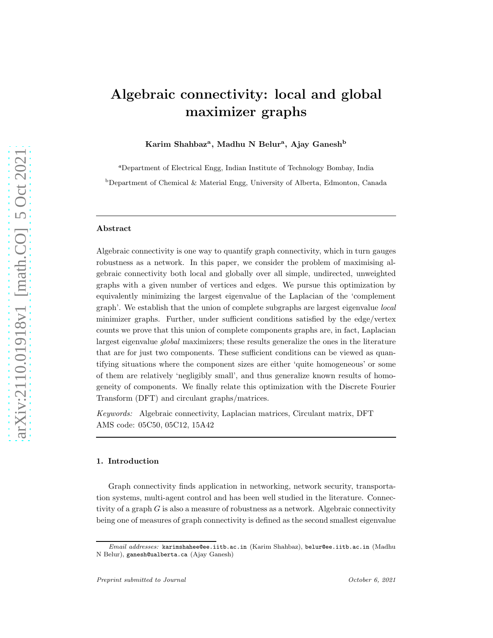# Algebraic connectivity: local and global maximizer graphs

Karim Shahbaz<sup>a</sup>, Madhu N Belur<sup>a</sup>, Ajay Ganesh<sup>b</sup>

<sup>a</sup>Department of Electrical Engg, Indian Institute of Technology Bombay, India

 $b$ Department of Chemical & Material Engg, University of Alberta, Edmonton, Canada

#### Abstract

Algebraic connectivity is one way to quantify graph connectivity, which in turn gauges robustness as a network. In this paper, we consider the problem of maximising algebraic connectivity both local and globally over all simple, undirected, unweighted graphs with a given number of vertices and edges. We pursue this optimization by equivalently minimizing the largest eigenvalue of the Laplacian of the 'complement graph'. We establish that the union of complete subgraphs are largest eigenvalue local minimizer graphs. Further, under sufficient conditions satisfied by the edge/vertex counts we prove that this union of complete components graphs are, in fact, Laplacian largest eigenvalue global maximizers; these results generalize the ones in the literature that are for just two components. These sufficient conditions can be viewed as quantifying situations where the component sizes are either 'quite homogeneous' or some of them are relatively 'negligibly small', and thus generalize known results of homogeneity of components. We finally relate this optimization with the Discrete Fourier Transform (DFT) and circulant graphs/matrices.

Keywords: Algebraic connectivity, Laplacian matrices, Circulant matrix, DFT AMS code: 05C50, 05C12, 15A42

# 1. Introduction

Graph connectivity finds application in networking, network security, transportation systems, multi-agent control and has been well studied in the literature. Connectivity of a graph G is also a measure of robustness as a network. Algebraic connectivity being one of measures of graph connectivity is defined as the second smallest eigenvalue

Email addresses: karimshahee@ee.iitb.ac.in (Karim Shahbaz), belur@ee.iitb.ac.in (Madhu N Belur), ganesh@ualberta.ca (Ajay Ganesh)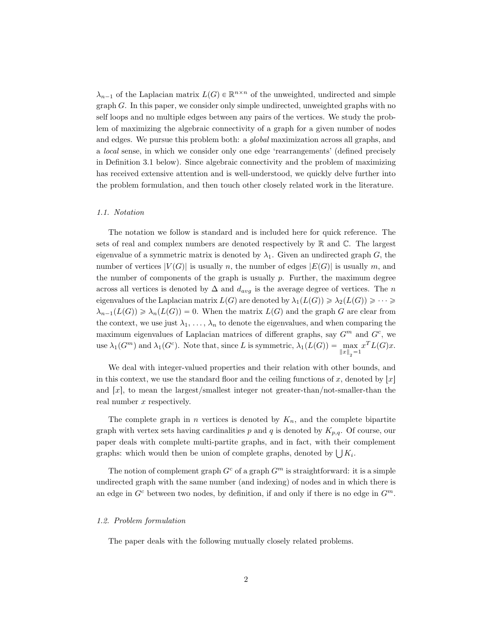$\lambda_{n-1}$  of the Laplacian matrix  $L(G) \in \mathbb{R}^{n \times n}$  of the unweighted, undirected and simple graph G. In this paper, we consider only simple undirected, unweighted graphs with no self loops and no multiple edges between any pairs of the vertices. We study the problem of maximizing the algebraic connectivity of a graph for a given number of nodes and edges. We pursue this problem both: a global maximization across all graphs, and a local sense, in which we consider only one edge 'rearrangements' (defined precisely in Definition 3.1 below). Since algebraic connectivity and the problem of maximizing has received extensive attention and is well-understood, we quickly delve further into the problem formulation, and then touch other closely related work in the literature.

### 1.1. Notation

The notation we follow is standard and is included here for quick reference. The sets of real and complex numbers are denoted respectively by  $\mathbb R$  and  $\mathbb C$ . The largest eigenvalue of a symmetric matrix is denoted by  $\lambda_1$ . Given an undirected graph G, the number of vertices  $|V(G)|$  is usually n, the number of edges  $|E(G)|$  is usually m, and the number of components of the graph is usually  $p$ . Further, the maximum degree across all vertices is denoted by  $\Delta$  and  $d_{avg}$  is the average degree of vertices. The n eigenvalues of the Laplacian matrix  $L(G)$  are denoted by  $\lambda_1(L(G)) \geq \lambda_2(L(G)) \geq \cdots \geq$  $\lambda_{n-1}(L(G)) \geq \lambda_n(L(G)) = 0.$  When the matrix  $L(G)$  and the graph G are clear from the context, we use just  $\lambda_1, \ldots, \lambda_n$  to denote the eigenvalues, and when comparing the maximum eigenvalues of Laplacian matrices of different graphs, say  $G<sup>m</sup>$  and  $G<sup>c</sup>$ , we use  $\lambda_1(G^m)$  and  $\lambda_1(G^c)$ . Note that, since L is symmetric,  $\lambda_1(L(G)) = \max_{\|x\|_2 = 1} x^T L(G)x$ .

We deal with integer-valued properties and their relation with other bounds, and in this context, we use the standard floor and the ceiling functions of x, denoted by  $|x|$ and  $[x]$ , to mean the largest/smallest integer not greater-than/not-smaller-than the real number x respectively.

The complete graph in *n* vertices is denoted by  $K_n$ , and the complete bipartite graph with vertex sets having cardinalities p and q is denoted by  $K_{p,q}$ . Of course, our paper deals with complete multi-partite graphs, and in fact, with their complement graphs: which would then be union of complete graphs, denoted by  $\bigcup K_i$ .

The notion of complement graph  $G^c$  of a graph  $G^m$  is straightforward: it is a simple undirected graph with the same number (and indexing) of nodes and in which there is an edge in  $G<sup>c</sup>$  between two nodes, by definition, if and only if there is no edge in  $G<sup>m</sup>$ .

#### 1.2. Problem formulation

The paper deals with the following mutually closely related problems.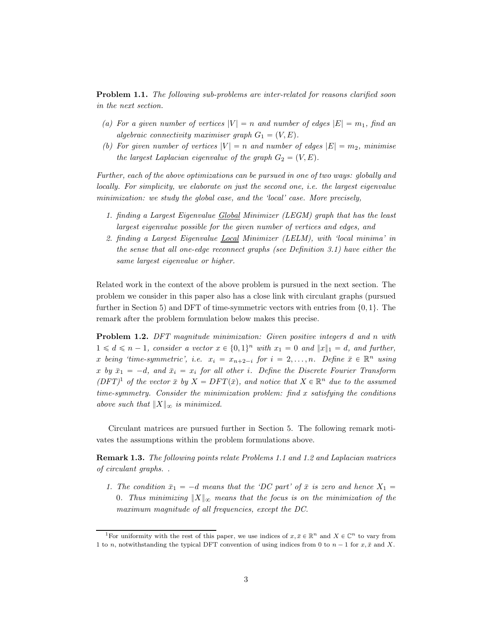<span id="page-2-1"></span>Problem 1.1. The following sub-problems are inter-related for reasons clarified soon in the next section.

- (a) For a given number of vertices  $|V| = n$  and number of edges  $|E| = m_1$ , find an algebraic connectivity maximiser graph  $G_1 = (V, E)$ .
- (b) For given number of vertices  $|V| = n$  and number of edges  $|E| = m_2$ , minimise the largest Laplacian eigenvalue of the graph  $G_2 = (V, E)$ .

Further, each of the above optimizations can be pursued in one of two ways: globally and locally. For simplicity, we elaborate on just the second one, i.e. the largest eigenvalue minimization: we study the global case, and the 'local' case. More precisely,

- 1. finding a Largest Eigenvalue Global Minimizer (LEGM) graph that has the least largest eigenvalue possible for the given number of vertices and edges, and
- 2. finding a Largest Eigenvalue Local Minimizer (LELM), with 'local minima' in the sense that all one-edge reconnect graphs (see Definition 3.1) have either the same largest eigenvalue or higher.

Related work in the context of the above problem is pursued in the next section. The problem we consider in this paper also has a close link with circulant graphs (pursued further in Section [5\)](#page-17-0) and DFT of time-symmetric vectors with entries from  $\{0, 1\}$ . The remark after the problem formulation below makes this precise.

<span id="page-2-2"></span>Problem 1.2. DFT magnitude minimization: Given positive integers d and n with  $1 \leq d \leq n-1$ , consider a vector  $x \in \{0, 1\}^n$  with  $x_1 = 0$  and  $||x||_1 = d$ , and further, x being 'time-symmetric', i.e.  $x_i = x_{n+2-i}$  for  $i = 2, ..., n$ . Define  $\bar{x} \in \mathbb{R}^n$  using x by  $\bar{x}_1 = -d$ , and  $\bar{x}_i = x_i$  for all other i. Define the Discrete Fourier Transform  $(DFT)^1$  $(DFT)^1$  of the vector  $\bar{x}$  by  $X = DFT(\bar{x})$ , and notice that  $X \in \mathbb{R}^n$  due to the assumed time-symmetry. Consider the minimization problem: find  $x$  satisfying the conditions above such that  $||X||_{\infty}$  is minimized.

Circulant matrices are pursued further in Section [5.](#page-17-0) The following remark motivates the assumptions within the problem formulations above.

<span id="page-2-3"></span>Remark 1.3. The following points relate Problems [1.1](#page-2-1) and [1.2](#page-2-2) and Laplacian matrices of circulant graphs. .

1. The condition  $\bar{x}_1 = -d$  means that the 'DC part' of  $\bar{x}$  is zero and hence  $X_1 =$ 0. Thus minimizing  $||X||_{\infty}$  means that the focus is on the minimization of the maximum magnitude of all frequencies, except the DC.

<span id="page-2-0"></span><sup>&</sup>lt;sup>1</sup>For uniformity with the rest of this paper, we use indices of  $x, \bar{x} \in \mathbb{R}^n$  and  $X \in \mathbb{C}^n$  to vary from 1 to n, notwithstanding the typical DFT convention of using indices from 0 to  $n - 1$  for  $x, \bar{x}$  and X.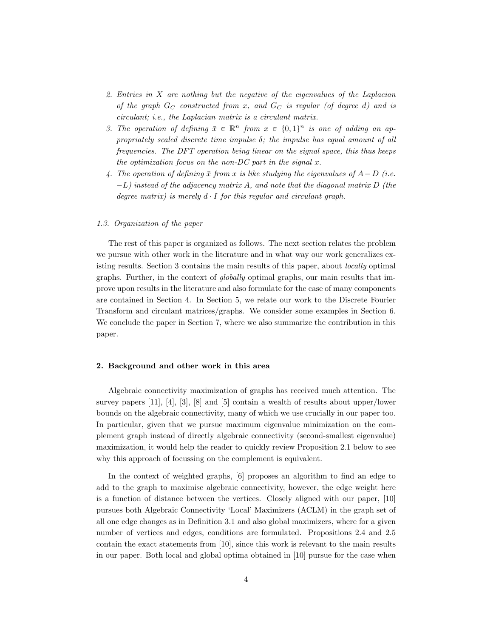- 2. Entries in X are nothing but the negative of the eigenvalues of the Laplacian of the graph  $G_C$  constructed from x, and  $G_C$  is regular (of degree d) and is circulant; i.e., the Laplacian matrix is a circulant matrix.
- 3. The operation of defining  $\bar{x} \in \mathbb{R}^n$  from  $x \in \{0, 1\}^n$  is one of adding an appropriately scaled discrete time impulse  $\delta$ ; the impulse has equal amount of all frequencies. The DFT operation being linear on the signal space, this thus keeps the optimization focus on the non-DC part in the signal  $x$ .
- 4. The operation of defining  $\bar{x}$  from x is like studying the eigenvalues of  $A-D$  (i.e.  $-L$ ) instead of the adjacency matrix A, and note that the diagonal matrix D (the degree matrix) is merely  $d \cdot I$  for this regular and circulant graph.

## 1.3. Organization of the paper

The rest of this paper is organized as follows. The next section relates the problem we pursue with other work in the literature and in what way our work generalizes existing results. Section [3](#page-5-0) contains the main results of this paper, about locally optimal graphs. Further, in the context of globally optimal graphs, our main results that improve upon results in the literature and also formulate for the case of many components are contained in Section [4.](#page-12-0) In Section [5,](#page-17-0) we relate our work to the Discrete Fourier Transform and circulant matrices/graphs. We consider some examples in Section [6.](#page-18-0) We conclude the paper in Section [7,](#page-19-0) where we also summarize the contribution in this paper.

## 2. Background and other work in this area

Algebraic connectivity maximization of graphs has received much attention. The survey papers [\[11\]](#page-20-0), [\[4\]](#page-20-1), [\[3\]](#page-20-2), [\[8](#page-20-3)] and [\[5](#page-20-4)] contain a wealth of results about upper/lower bounds on the algebraic connectivity, many of which we use crucially in our paper too. In particular, given that we pursue maximum eigenvalue minimization on the complement graph instead of directly algebraic connectivity (second-smallest eigenvalue) maximization, it would help the reader to quickly review Proposition [2.1](#page-4-0) below to see why this approach of focussing on the complement is equivalent.

In the context of weighted graphs, [\[6\]](#page-20-5) proposes an algorithm to find an edge to add to the graph to maximise algebraic connectivity, however, the edge weight here is a function of distance between the vertices. Closely aligned with our paper, [\[10\]](#page-20-6) pursues both Algebraic Connectivity 'Local' Maximizers (ACLM) in the graph set of all one edge changes as in Definition 3.1 and also global maximizers, where for a given number of vertices and edges, conditions are formulated. Propositions [2.4](#page-5-1) and [2.5](#page-5-2) contain the exact statements from [\[10\]](#page-20-6), since this work is relevant to the main results in our paper. Both local and global optima obtained in [\[10](#page-20-6)] pursue for the case when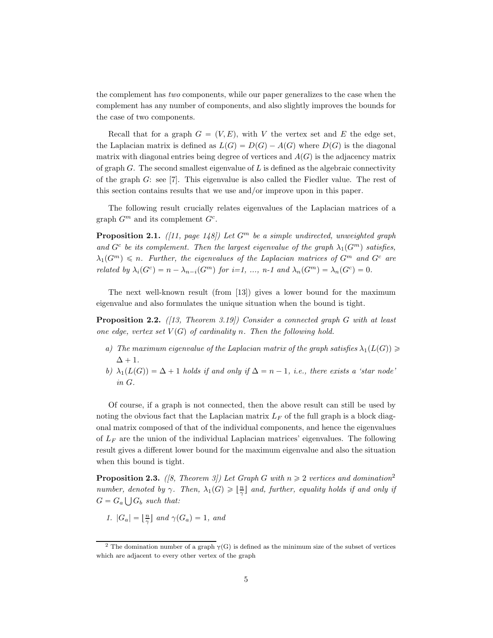the complement has two components, while our paper generalizes to the case when the complement has any number of components, and also slightly improves the bounds for the case of two components.

Recall that for a graph  $G = (V, E)$ , with V the vertex set and E the edge set, the Laplacian matrix is defined as  $L(G) = D(G) - A(G)$  where  $D(G)$  is the diagonal matrix with diagonal entries being degree of vertices and  $A(G)$  is the adjacency matrix of graph  $G$ . The second smallest eigenvalue of  $L$  is defined as the algebraic connectivity of the graph  $G$ : see [\[7\]](#page-20-7). This eigenvalue is also called the Fiedler value. The rest of this section contains results that we use and/or improve upon in this paper.

The following result crucially relates eigenvalues of the Laplacian matrices of a graph  $G^m$  and its complement  $G^c$ .

<span id="page-4-0"></span>**Proposition 2.1.** ([\[11](#page-20-0), page 148]) Let  $G^m$  be a simple undirected, unweighted graph and  $G^c$  be its complement. Then the largest eigenvalue of the graph  $\lambda_1(G^m)$  satisfies,  $\lambda_1(G^m) \leq n$ . Further, the eigenvalues of the Laplacian matrices of  $G^m$  and  $G^c$  are related by  $\lambda_i(G^c) = n - \lambda_{n-i}(G^m)$  for  $i=1, ..., n-1$  and  $\lambda_n(G^m) = \lambda_n(G^c) = 0$ .

The next well-known result (from [\[13](#page-20-8)]) gives a lower bound for the maximum eigenvalue and also formulates the unique situation when the bound is tight.

<span id="page-4-2"></span>**Proposition 2.2.** ([\[13](#page-20-8), Theorem 3.19]) Consider a connected graph G with at least one edge, vertex set  $V(G)$  of cardinality n. Then the following hold.

- a) The maximum eigenvalue of the Laplacian matrix of the graph satisfies  $\lambda_1(L(G)) \geq$  $\Delta + 1$ .
- b)  $\lambda_1(L(G)) = \Delta + 1$  holds if and only if  $\Delta = n 1$ , i.e., there exists a 'star node' in G.

Of course, if a graph is not connected, then the above result can still be used by noting the obvious fact that the Laplacian matrix  $L_F$  of the full graph is a block diagonal matrix composed of that of the individual components, and hence the eigenvalues of  $L_F$  are the union of the individual Laplacian matrices' eigenvalues. The following result gives a different lower bound for the maximum eigenvalue and also the situation when this bound is tight.

<span id="page-4-3"></span>**Proposition [2](#page-4-1).3.** ([\[8](#page-20-3), Theorem 3]) Let Graph G with  $n \geq 2$  vertices and domination<sup>2</sup> number, denoted by  $\gamma$ . Then,  $\lambda_1(G) \geqslant \lfloor \frac{n}{\gamma} \rfloor$  and, further, equality holds if and only if  $G = G_a \bigcup G_b$  such that:

1.  $|G_a| = \lfloor \frac{n}{\gamma} \rfloor$  and  $\gamma(G_a) = 1$ , and

<span id="page-4-1"></span><sup>&</sup>lt;sup>2</sup> The domination number of a graph  $\gamma(G)$  is defined as the minimum size of the subset of vertices which are adjacent to every other vertex of the graph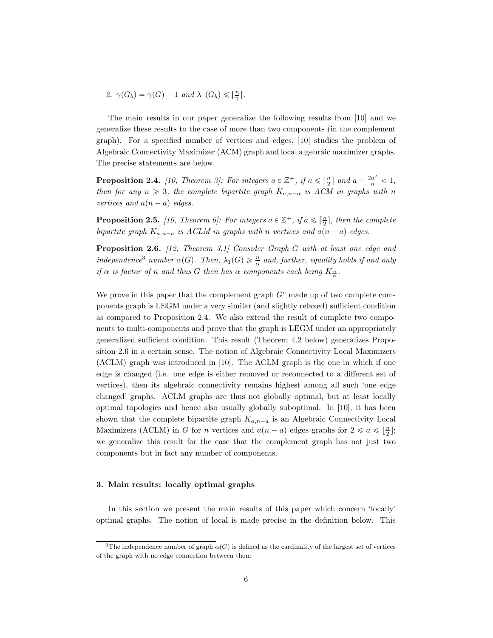2.  $\gamma(G_b) = \gamma(G) - 1$  and  $\lambda_1(G_b) \leqslant \lfloor \frac{n}{\gamma} \rfloor$ .

The main results in our paper generalize the following results from [\[10\]](#page-20-6) and we generalize these results to the case of more than two components (in the complement graph). For a specified number of vertices and edges, [\[10\]](#page-20-6) studies the problem of Algebraic Connectivity Maximizer (ACM) graph and local algebraic maximizer graphs. The precise statements are below.

<span id="page-5-1"></span>**Proposition 2.4.** [\[10](#page-20-6), Theorem 3]: For integers  $a \in \mathbb{Z}^+$ , if  $a \leq \lceil \frac{n}{2} \rceil$  and  $a - \frac{2a^2}{n} < 1$ , then for any  $n \geq 3$ , the complete bipartite graph  $K_{a,n-a}$  is ACM in graphs with n vertices and  $a(n - a)$  edges.

<span id="page-5-2"></span>**Proposition 2.5.** [\[10](#page-20-6), Theorem 6]: For integers  $a \in \mathbb{Z}^+$ , if  $a \leq \lceil \frac{n}{2} \rceil$ , then the complete bipartite graph  $K_{a,n-a}$  is ACLM in graphs with n vertices and  $a(n-a)$  edges.

<span id="page-5-4"></span>Proposition 2.6. [\[12,](#page-20-9) Theorem 3.1] Consider Graph G with at least one edge and independence<sup>[3](#page-5-3)</sup> number  $\alpha(G)$ . Then,  $\lambda_1(G) \geq \frac{n}{\alpha}$  and, further, equality holds if and only if  $\alpha$  is factor of n and thus G then has  $\alpha$  components each being  $K_{\frac{n}{\alpha}}.$ 

We prove in this paper that the complement graph  $G<sup>c</sup>$  made up of two complete components graph is LEGM under a very similar (and slightly relaxed) sufficient condition as compared to Proposition [2.4.](#page-5-1) We also extend the result of complete two components to multi-components and prove that the graph is LEGM under an appropriately generalized sufficient condition. This result (Theorem [4.2](#page-13-0) below) generalizes Proposition [2.6](#page-5-4) in a certain sense. The notion of Algebraic Connectivity Local Maximizers (ACLM) graph was introduced in [\[10\]](#page-20-6). The ACLM graph is the one in which if one edge is changed (i.e. one edge is either removed or reconnected to a different set of vertices), then its algebraic connectivity remains highest among all such 'one edge changed' graphs. ACLM graphs are thus not globally optimal, but at least locally optimal topologies and hence also usually globally suboptimal. In [\[10\]](#page-20-6), it has been shown that the complete bipartite graph  $K_{a,n-a}$  is an Algebraic Connectivity Local Maximizers (ACLM) in G for n vertices and  $a(n-a)$  edges graphs for  $2 \le a \le \lfloor \frac{n}{2} \rfloor$ ; we generalize this result for the case that the complement graph has not just two components but in fact any number of components.

#### <span id="page-5-0"></span>3. Main results: locally optimal graphs

In this section we present the main results of this paper which concern 'locally' optimal graphs. The notion of local is made precise in the definition below. This

<span id="page-5-3"></span><sup>&</sup>lt;sup>3</sup>The independence number of graph  $\alpha(G)$  is defined as the cardinality of the largest set of vertices of the graph with no edge connection between them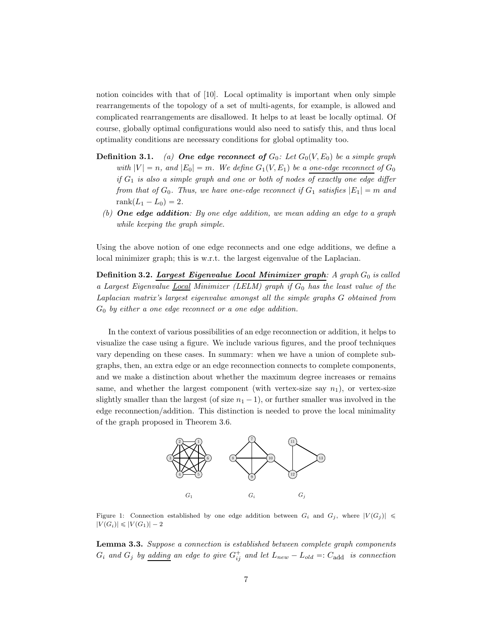notion coincides with that of [\[10\]](#page-20-6). Local optimality is important when only simple rearrangements of the topology of a set of multi-agents, for example, is allowed and complicated rearrangements are disallowed. It helps to at least be locally optimal. Of course, globally optimal configurations would also need to satisfy this, and thus local optimality conditions are necessary conditions for global optimality too.

- **Definition 3.1.** (a) **One edge reconnect of**  $G_0$ : Let  $G_0(V, E_0)$  be a simple graph with  $|V| = n$ , and  $|E_0| = m$ . We define  $G_1(V, E_1)$  be a one-edge reconnect of  $G_0$ if  $G_1$  is also a simple graph and one or both of nodes of exactly one edge differ from that of  $G_0$ . Thus, we have one-edge reconnect if  $G_1$  satisfies  $|E_1| = m$  and rank $(L_1 - L_0) = 2$ .
	- (b) One edge addition: By one edge addition, we mean adding an edge to a graph while keeping the graph simple.

Using the above notion of one edge reconnects and one edge additions, we define a local minimizer graph; this is w.r.t. the largest eigenvalue of the Laplacian.

Definition 3.2. Largest Eigenvalue Local Minimizer graph: A graph  $G_0$  is called a Largest Eigenvalue Local Minimizer (LELM) graph if  $G_0$  has the least value of the Laplacian matrix's largest eigenvalue amongst all the simple graphs G obtained from  $G_0$  by either a one edge reconnect or a one edge addition.

In the context of various possibilities of an edge reconnection or addition, it helps to visualize the case using a figure. We include various figures, and the proof techniques vary depending on these cases. In summary: when we have a union of complete subgraphs, then, an extra edge or an edge reconnection connects to complete components, and we make a distinction about whether the maximum degree increases or remains same, and whether the largest component (with vertex-size say  $n_1$ ), or vertex-size slightly smaller than the largest (of size  $n_1 - 1$ ), or further smaller was involved in the edge reconnection/addition. This distinction is needed to prove the local minimality of the graph proposed in Theorem [3.6.](#page-9-0)



<span id="page-6-0"></span>Figure 1: Connection established by one edge addition between  $G_i$  and  $G_j$ , where  $|V(G_j)| \leq$  $|V(G_i)| \leq |V(G_1)| - 2$ 

<span id="page-6-1"></span>Lemma 3.3. Suppose a connection is established between complete graph components  $G_i$  and  $G_j$  by <u>adding</u> an edge to give  $G_{ij}^+$  and let  $L_{new} - L_{old} =: C_{add}$  is connection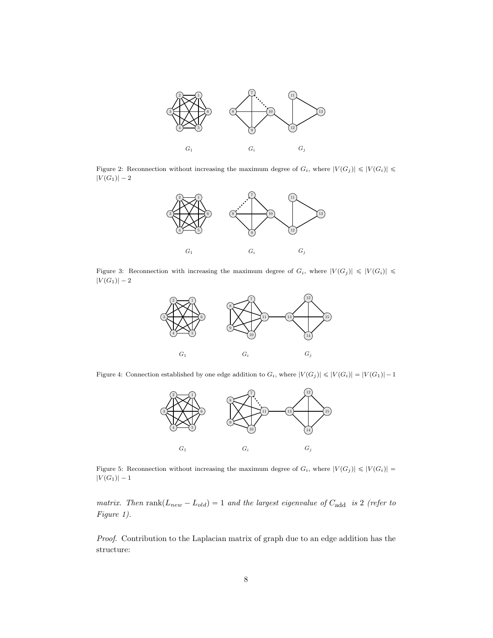

Figure 2: Reconnection without increasing the maximum degree of  $G_i$ , where  $|V(G_j)| \leq |V(G_i)| \leq$  $|V(G_1)| - 2$ 

<span id="page-7-1"></span>

Figure 3: Reconnection with increasing the maximum degree of  $G_i$ , where  $|V(G_j)| \leq |V(G_i)| \leq$  $|V(G_1)| - 2$ 

<span id="page-7-0"></span>

Figure 4: Connection established by one edge addition to  $G_i$ , where  $|V(G_j)| \leqslant |V(G_i)| = |V(G_1)| - 1$ 

<span id="page-7-2"></span>

<span id="page-7-3"></span>Figure 5: Reconnection without increasing the maximum degree of  $G_i$ , where  $|V(G_j)| \leq |V(G_i)| =$  $|V(G_1)| - 1$ 

matrix. Then  $\text{rank}(L_{new} - L_{old}) = 1$  and the largest eigenvalue of  $C_{add}$  is 2 (refer to Figure [1\)](#page-6-0).

Proof. Contribution to the Laplacian matrix of graph due to an edge addition has the structure: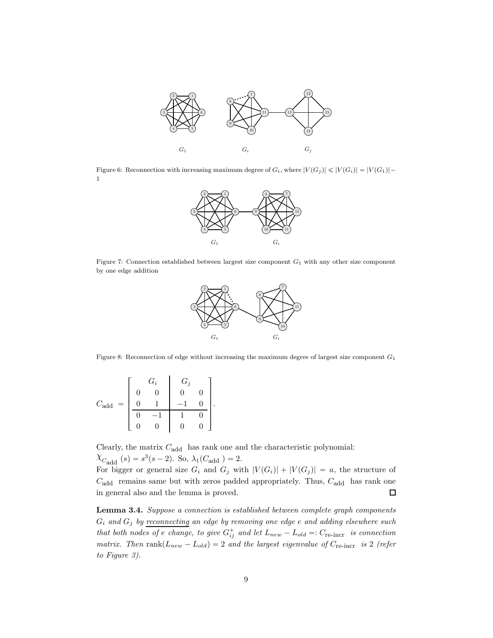

<span id="page-8-1"></span>Figure 6: Reconnection with increasing maximum degree of  $G_i$ , where  $|V(G_i)| \leq |V(G_i)| = |V(G_1)| -$ 1



<span id="page-8-2"></span>Figure 7: Connection established between largest size component  $G_1$  with any other size component by one edge addition



<span id="page-8-3"></span>Figure 8: Reconnection of edge without increasing the maximum degree of largest size component  $G_1$ 

$$
C_{\text{add}} = \begin{bmatrix} G_i & G_j \\ 0 & 0 & 0 & 0 \\ 0 & 1 & -1 & 0 \\ 0 & -1 & 1 & 0 \\ 0 & 0 & 0 & 0 \end{bmatrix}.
$$

Clearly, the matrix  $C_{\text{add}}$  has rank one and the characteristic polynomial:  $\chi_{C_{\text{add}}} (s) = s^3(s-2)$ . So,  $\lambda_1(C_{\text{add}}) = 2$ .

For bigger or general size  $G_i$  and  $G_j$  with  $|V(G_i)| + |V(G_j)| = a$ , the structure of  $C_{\text{add}}$  remains same but with zeros padded appropriately. Thus,  $C_{\text{add}}$  has rank one in general also and the lemma is proved.  $\Box$ 

<span id="page-8-0"></span>Lemma 3.4. Suppose a connection is established between complete graph components  $G_i$  and  $G_j$  by reconnecting an edge by removing one edge e and adding elsewhere such that both nodes of e change, to give  $G_{ij}^+$  and let  $L_{new} - L_{old} =: C_{re\text{-incr}}$  is connection matrix. Then rank $(L_{new} - L_{old}) = 2$  and the largest eigenvalue of  $C_{\text{re-incr}}$  is 2 (refer to Figure [3\)](#page-7-0).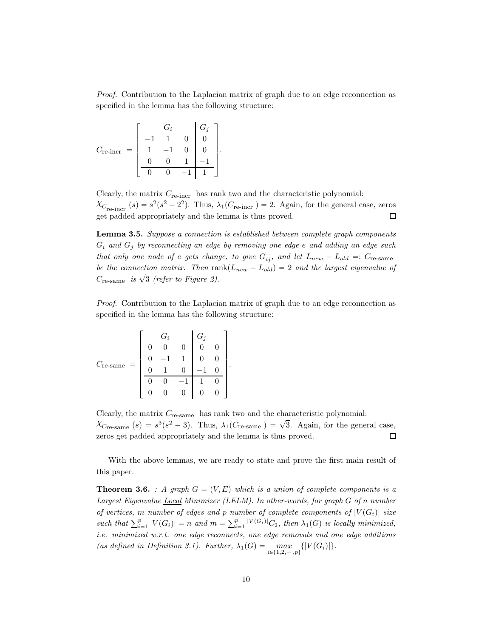Proof. Contribution to the Laplacian matrix of graph due to an edge reconnection as specified in the lemma has the following structure:

$$
C_{\text{re-incr}} = \left[ \begin{array}{rrr} & G_i & G_j \\ -1 & 1 & 0 & 0 \\ 1 & -1 & 0 & 0 \\ 0 & 0 & 1 & -1 \\ \hline 0 & 0 & -1 & 1 \end{array} \right].
$$

Clearly, the matrix  $C_{\text{re-incr}}$  has rank two and the characteristic polynomial:  $\lambda_{C_{\text{re-incr}}} (s) = s^2 (s^2 - 2^2)$ . Thus,  $\lambda_1(C_{\text{re-incr}}) = 2$ . Again, for the general case, zeros get padded appropriately and the lemma is thus proved.  $\Box$ 

<span id="page-9-1"></span>Lemma 3.5. Suppose a connection is established between complete graph components  $G_i$  and  $G_j$  by reconnecting an edge by removing one edge e and adding an edge such that only one node of e gets change, to give  $G_{ij}^+$ , and let  $L_{new} - L_{old} =: C_{re\text{-same}}$ be the connection matrix. Then rank $(L_{new} - L_{old}) = 2$  and the largest eigenvalue of  $C_{\text{re-sample}}$  is  $\sqrt{3}$  (refer to Figure [2\)](#page-7-1).

Proof. Contribution to the Laplacian matrix of graph due to an edge reconnection as specified in the lemma has the following structure:

$$
C_{\text{re-same}} = \begin{bmatrix} G_i & G_j & G_j \\ 0 & 0 & 0 & 0 & 0 \\ 0 & -1 & 1 & 0 & 0 \\ 0 & 1 & 0 & -1 & 0 \\ 0 & 0 & -1 & 1 & 0 \\ 0 & 0 & 0 & 0 & 0 \end{bmatrix}.
$$

Clearly, the matrix  $C_{\text{re-sample}}$  has rank two and the characteristic polynomial:  $\chi_{C_{\text{re-sample}}}$  (s) =  $s^3(s^2 - 3)$ . Thus,  $\lambda_1(C_{\text{re-sample}}) = \sqrt{3}$ . Again, for the general case, zeros get padded appropriately and the lemma is thus proved.  $\Box$ 

With the above lemmas, we are ready to state and prove the first main result of this paper.

<span id="page-9-0"></span>**Theorem 3.6.** : A graph  $G = (V, E)$  which is a union of complete components is a Largest Eigenvalue Local Minimizer (LELM). In other-words, for graph G of n number of vertices, m number of edges and p number of complete components of  $|V(G_i)|$  size such that  $\sum_{i=1}^p |V(G_i)| = n$  and  $m = \sum_{i=1}^p |V(G_i)| C_2$ , then  $\lambda_1(G)$  is locally minimized, i.e. minimized w.r.t. one edge reconnects, one edge removals and one edge additions (as defined in Definition 3.1). Further,  $\lambda_1(G) = \max_{i \in \{1,2,\dots,p\}} \{|V(G_i)|\}.$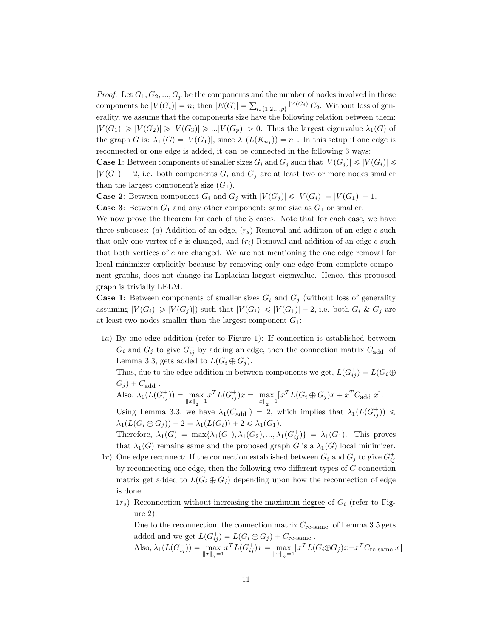*Proof.* Let  $G_1, G_2, ..., G_p$  be the components and the number of nodes involved in those components be  $|V(G_i)| = n_i$  then  $|E(G)| = \sum_{i \in \{1,2,\ldots,p\}} |V(G_i)| C_2$ . Without loss of generality, we assume that the components size have the following relation between them:  $|V(G_1)| \geq |V(G_2)| \geq |V(G_3)| \geq ... |V(G_p)| > 0$ . Thus the largest eigenvalue  $\lambda_1(G)$  of the graph G is:  $\lambda_1(G) = |V(G_1)|$ , since  $\lambda_1(L(K_{n_1})) = n_1$ . In this setup if one edge is reconnected or one edge is added, it can be connected in the following 3 ways:

**Case 1:** Between components of smaller sizes  $G_i$  and  $G_j$  such that  $|V(G_j)| \leqslant |V(G_i)| \leqslant d$  $|V(G_1)| - 2$ , i.e. both components  $G_i$  and  $G_j$  are at least two or more nodes smaller than the largest component's size  $(G_1)$ .

**Case 2:** Between component  $G_i$  and  $G_j$  with  $|V(G_j)| \leq |V(G_i)| = |V(G_1)| - 1$ .

**Case 3:** Between  $G_1$  and any other component: same size as  $G_1$  or smaller.

We now prove the theorem for each of the 3 cases. Note that for each case, we have three subcases: (a) Addition of an edge,  $(r_s)$  Removal and addition of an edge e such that only one vertex of e is changed, and  $(r<sub>i</sub>)$  Removal and addition of an edge e such that both vertices of e are changed. We are not mentioning the one edge removal for local minimizer explicitly because by removing only one edge from complete component graphs, does not change its Laplacian largest eigenvalue. Hence, this proposed graph is trivially LELM.

**Case 1:** Between components of smaller sizes  $G_i$  and  $G_j$  (without loss of generality assuming  $|V(G_i)| \geq |V(G_j)|$  such that  $|V(G_i)| \leq |V(G_1)| - 2$ , i.e. both  $G_i \& G_j$  are at least two nodes smaller than the largest component  $G_1$ :

1a) By one edge addition (refer to Figure [1\)](#page-6-0): If connection is established between  $G_i$  and  $G_j$  to give  $G_{ij}^+$  by adding an edge, then the connection matrix  $C_{\text{add}}$  of Lemma [3.3,](#page-6-1) gets added to  $L(G_i \oplus G_j)$ .

Thus, due to the edge addition in between components we get,  $L(G^{+}_{ij}) = L(G_i \oplus$  $G_j$ ) +  $C_{\text{add}}$ .

Also,  $\lambda_1(L(G_{ij}^+)) = \max_{\|x\|_2=1} x^T L(G_{ij}^+) x = \max_{\|x\|_2=1} [x^T L(G_i \oplus G_j) x + x^T C_{\text{add}} x].$ 

Using Lemma [3.3,](#page-6-1) we have  $\lambda_1(C_{\text{add}}) = 2$ , which implies that  $\lambda_1(L(G_{ij}^+)) \leq$  $\lambda_1(L(G_i \oplus G_j)) + 2 = \lambda_1(L(G_i)) + 2 \leq \lambda_1(G_1).$ 

Therefore,  $\lambda_1(G) = \max\{\lambda_1(G_1), \lambda_1(G_2), ..., \lambda_1(G_{ij}^+)\} = \lambda_1(G_1)$ . This proves that  $\lambda_1(G)$  remains same and the proposed graph G is a  $\lambda_1(G)$  local minimizer.

- 1r) One edge reconnect: If the connection established between  $G_i$  and  $G_j$  to give  $G_{ij}^+$ by reconnecting one edge, then the following two different types of  $C$  connection matrix get added to  $L(G_i \oplus G_j)$  depending upon how the reconnection of edge is done.
	- $1r_s$ ) Reconnection without increasing the maximum degree of  $G_i$  (refer to Figure [2\)](#page-7-1):

Due to the reconnection, the connection matrix  $C_{\text{re-sample}}$  of Lemma [3.5](#page-9-1) gets added and we get  $L(G_{ij}^+) = L(G_i \oplus G_j) + C_{\text{re-sample}}$ .

Also, 
$$
\lambda_1(L(G_{ij}^+)) = \max_{\|x\|_2 = 1} x^T L(G_{ij}^+) x = \max_{\|x\|_2 = 1} [x^T L(G_i \oplus G_j) x + x^T C_{\text{re-sample}} x]
$$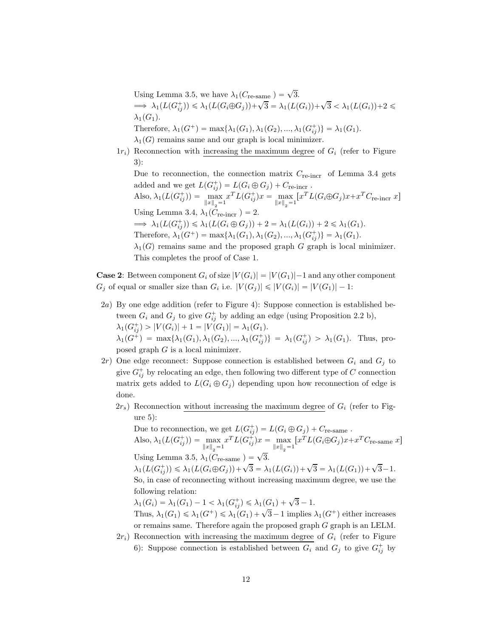Using Lemma [3.5,](#page-9-1) we have  $\lambda_1(C_{\text{re-sample}}) = \sqrt{3}$ .  $\Rightarrow \lambda_1(L(G_{ij}^+)) \leq \lambda_1(L(G_i \oplus G_j)) + \sqrt{3} = \lambda_1(L(G_i)) + \sqrt{3} < \lambda_1(L(G_i)) + 2 \leq$  $\lambda_1(G_1)$ . Therefore,  $\lambda_1(G^+) = \max{\lambda_1(G_1), \lambda_1(G_2), ..., \lambda_1(G_{ij}^+)} = \lambda_1(G_1)$ .

 $\lambda_1(G)$  remains same and our graph is local minimizer.

 $1r_i$ ) Reconnection with increasing the maximum degree of  $G_i$  (refer to Figure [3\)](#page-7-0):

Due to reconnection, the connection matrix  $C_{\text{re-incr}}$  of Lemma [3.4](#page-8-0) gets added and we get  $L(G_{ij}^+) = L(G_i \oplus G_j) + C_{\text{re-incr}}$ .

Also,  $\lambda_1(L(G_{ij}^+)) = \max_{\|x\|_2=1} x^T L(G_{ij}^+) x = \max_{\|x\|_2=1} [x^T L(G_i \oplus G_j) x + x^T C_{\text{re-incr}} x]$ Using Lemma [3.4,](#page-8-0)  $\lambda_1(C_{\text{re-incr}}) = 2$ .  $\implies \lambda_1(L(G_{ij}^+)) \leq \lambda_1(L(G_i \oplus G_j)) + 2 = \lambda_1(L(G_i)) + 2 \leq \lambda_1(G_1).$ Therefore,  $\lambda_1(G^+) = \max{\lambda_1(G_1), \lambda_1(G_2), ..., \lambda_1(G_{ij}^+)} = \lambda_1(G_1)$ .

 $\lambda_1(G)$  remains same and the proposed graph G graph is local minimizer. This completes the proof of Case 1.

**Case 2:** Between component  $G_i$  of size  $|V(G_i)| = |V(G_1)|-1$  and any other component  $G_j$  of equal or smaller size than  $G_i$  i.e.  $|V(G_j)| \leq |V(G_i)| = |V(G_1)| - 1$ :

- 2a) By one edge addition (refer to Figure [4\)](#page-7-2): Suppose connection is established between  $G_i$  and  $G_j$  to give  $G^+_{ij}$  by adding an edge (using Proposition [2.2](#page-4-2) b),  $\lambda_1(G_{ij}^+) > |V(G_i)| + 1 = |V(G_1)| = \lambda_1(G_1).$  $\lambda_1(G^+) = \max\{\lambda_1(G_1), \lambda_1(G_2), ..., \lambda_1(G_{ij}^+)\} = \lambda_1(G_{ij}^+) > \lambda_1(G_1)$ . Thus, proposed graph  $G$  is a local minimizer.
- $2r$ ) One edge reconnect: Suppose connection is established between  $G_i$  and  $G_j$  to give  $G_{ij}^+$  by relocating an edge, then following two different type of C connection matrix gets added to  $L(G_i \oplus G_j)$  depending upon how reconnection of edge is done.
	- $2r<sub>s</sub>$ ) Reconnection without increasing the maximum degree of  $G<sub>i</sub>$  (refer to Figure [5\)](#page-7-3):

Due to reconnection, we get  $L(G_{ij}^+) = L(G_i \oplus G_j) + C_{\text{re-sample}}$ . Also,  $\lambda_1(L(G_{ij}^+)) = \max_{\|x\|_2 = 1} x^T L(G_{ij}^+) x = \max_{\|x\|_2 = 1} [x^T L(G_i \oplus G_j) x + x^T C_{\text{re-sample}} x]$ Using Lemma [3.5,](#page-9-1)  $\lambda_1(\overset{2}{C}_{\text{re-same}}) = \sqrt{3}$ .  $\lambda_1(L(G_{ij}^+)) \leq \lambda_1(L(G_i \oplus G_j)) + \sqrt{3} = \lambda_1(L(G_i)) + \sqrt{3} = \lambda_1(L(G_1)) + \sqrt{3} - 1.$ So, in case of reconnecting without increasing maximum degree, we use the following relation:

 $\lambda_1(G_i) = \lambda_1(G_1) - 1 < \lambda_1(G_{ij}^+) \leq \lambda_1(G_1) + \sqrt{3} - 1.$ 

Thus,  $\lambda_1(G_1) \leq \lambda_1(G^+) \leq \lambda_1(G_1) + \sqrt{3}-1$  implies  $\lambda_1(G^+)$  either increases or remains same. Therefore again the proposed graph G graph is an LELM.

 $2r_i$ ) Reconnection with increasing the maximum degree of  $G_i$  (refer to Figure [6\)](#page-8-1): Suppose connection is established between  $G_i$  and  $G_j$  to give  $G^+_{ij}$  by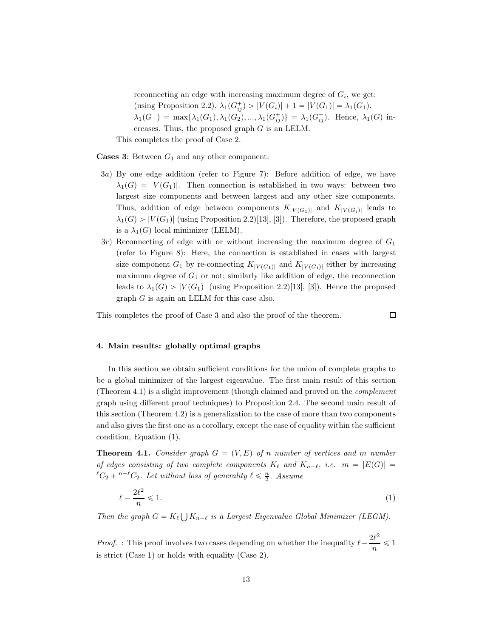reconnecting an edge with increasing maximum degree of  $G_i$ , we get: (using Proposition [2.2\)](#page-4-2),  $\lambda_1(G_{ij}^+) > |V(G_i)| + 1 = |V(G_1)| = \lambda_1(G_1)$ .  $\lambda_1(G^+) = \max\{\lambda_1(G_1), \lambda_1(G_2), ..., \lambda_1(G_{ij}^+)\} = \lambda_1(G_{ij}^+).$  Hence,  $\lambda_1(G)$  increases. Thus, the proposed graph  $G$  is an LELM.

This completes the proof of Case 2.

**Cases 3:** Between  $G_1$  and any other component:

- 3a) By one edge addition (refer to Figure [7\)](#page-8-2): Before addition of edge, we have  $\lambda_1(G) = |V(G_1)|$ . Then connection is established in two ways: between two largest size components and between largest and any other size components. Thus, addition of edge between components  $K_{|V(G_1)|}$  and  $K_{|V(G_i)|}$  leads to  $\lambda_1(G) > |V(G_1)|$  (using Proposition [2.2\)](#page-4-2)[\[13\]](#page-20-8), [\[3\]](#page-20-2)). Therefore, the proposed graph is a  $\lambda_1(G)$  local minimizer (LELM).
- $3r$ ) Reconnecting of edge with or without increasing the maximum degree of  $G_1$ (refer to Figure [8\)](#page-8-3): Here, the connection is established in cases with largest size component  $G_1$  by re-connecting  $K_{|V(G_1)|}$  and  $K_{|V(G_i)|}$  either by increasing maximum degree of  $G_1$  or not; similarly like addition of edge, the reconnection leads to  $\lambda_1(G) > |V(G_1)|$  (using Proposition [2.2\)](#page-4-2)[\[13](#page-20-8)], [\[3](#page-20-2)]). Hence the proposed graph G is again an LELM for this case also.

<span id="page-12-0"></span>This completes the proof of Case 3 and also the proof of the theorem.

<span id="page-12-2"></span> $\Box$ 

# 4. Main results: globally optimal graphs

In this section we obtain sufficient conditions for the union of complete graphs to be a global minimizer of the largest eigenvalue. The first main result of this section (Theorem [4.1\)](#page-12-1) is a slight improvement (though claimed and proved on the complement graph using different proof techniques) to Proposition [2.4.](#page-5-1) The second main result of this section (Theorem [4.2\)](#page-13-0) is a generalization to the case of more than two components and also gives the first one as a corollary, except the case of equality within the sufficient condition, Equation [\(1\)](#page-12-2).

<span id="page-12-1"></span>**Theorem 4.1.** Consider graph  $G = (V, E)$  of n number of vertices and m number of edges consisting of two complete components  $K_{\ell}$  and  $K_{n-\ell}$ , i.e.  $m = |E(G)| =$  ${}^{\ell}C_2 + {}^{n-\ell}C_2$ . Let without loss of generality  $\ell \leq \frac{n}{2}$ . Assume

$$
\ell - \frac{2\ell^2}{n} \leqslant 1. \tag{1}
$$

Then the graph  $G = K_{\ell} \bigcup K_{n-\ell}$  is a Largest Eigenvalue Global Minimizer (LEGM).

*Proof.* : This proof involves two cases depending on whether the inequality  $\ell - \frac{2\ell^2}{n}$  $\frac{n}{n} \leq 1$ is strict (Case 1) or holds with equality (Case 2).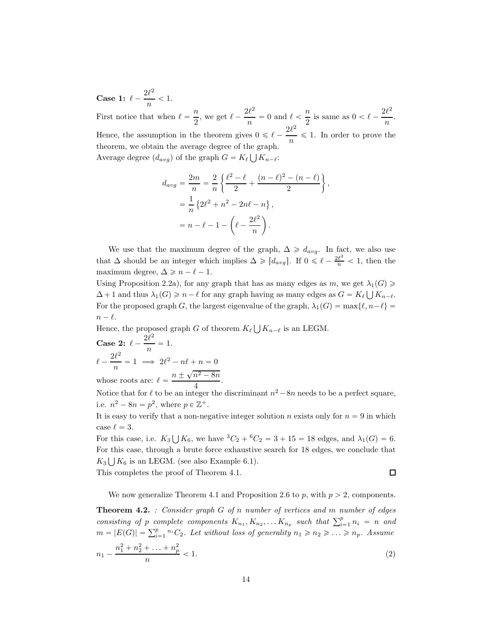Case 1:  $\ell - \frac{2\ell^2}{n}$  $\frac{n}{n}$  < 1. First notice that when  $\ell = \frac{n}{2}$  $\frac{n}{2}$ , we get  $\ell - \frac{2\ell^2}{n}$  $\frac{n}{n}$  = 0 and  $\ell < \frac{n}{2}$  $\frac{n}{2}$  is same as  $0 < \ell - \frac{2\ell^2}{n}$  $\frac{n}{n}$ . Hence, the assumption in the theorem gives  $0 \leq \ell - \frac{2\ell^2}{n}$  $\frac{\infty}{n} \leq 1$ . In order to prove the theorem, we obtain the average degree of the graph. Average degree  $(d_{avg})$  of the graph  $G = K_{\ell} \bigcup K_{n-\ell}$ :

$$
d_{avg} = \frac{2m}{n} = \frac{2}{n} \left\{ \frac{\ell^2 - \ell}{2} + \frac{(n - \ell)^2 - (n - \ell)}{2} \right\},
$$
  
=  $\frac{1}{n} \left\{ 2\ell^2 + n^2 - 2n\ell - n \right\},$   
=  $n - \ell - 1 - \left( \ell - \frac{2\ell^2}{n} \right).$ 

We use that the maximum degree of the graph,  $\Delta \geq d_{avg}$ . In fact, we also use that  $\Delta$  should be an integer which implies  $\Delta \geq \lceil d_{avg} \rceil$ . If  $0 \leq \ell - \frac{2\ell^2}{n} < 1$ , then the maximum degree,  $\Delta \geq n - \ell - 1$ .

Using Proposition [2.2a](#page-4-2)), for any graph that has as many edges as m, we get  $\lambda_1(G) \geq$  $\Delta + 1$  and thus  $\lambda_1(G) \geq n - \ell$  for any graph having as many edges as  $G = K_{\ell} \bigcup K_{n-\ell}$ . For the proposed graph G, the largest eigenvalue of the graph,  $\lambda_1(G) = \max\{\ell, n-\ell\}$  $n - \ell$ .

Hence, the proposed graph G of theorem  $K_{\ell} \bigcup K_{n-\ell}$  is an LEGM. Case 2:  $\ell - \frac{2\ell^2}{n}$  $\frac{n}{n} = 1.$  $\ell - \frac{2\ell^2}{n}$  $\frac{1}{n} = 1 \implies 2\ell^2 - n\ell + n = 0$ whose roots are:  $\ell = \frac{n \pm \sqrt{n^2 - 8n}}{4}$ 

 $\frac{1}{4}$ . Notice that for  $\ell$  to be an integer the discriminant  $n^2 - 8n$  needs to be a perfect square, i.e.  $n^2 - 8n = p^2$ , where  $p \in \mathbb{Z}^+$ .

It is easy to verify that a non-negative integer solution n exists only for  $n = 9$  in which case  $\ell = 3$ .

For this case, i.e.  $K_3 \bigcup K_6$ , we have  ${}^3C_2 + {}^6C_2 = 3 + 15 = 18$  edges, and  $\lambda_1(G) = 6$ . For this case, through a brute force exhaustive search for 18 edges, we conclude that  $K_3 \bigcup K_6$  is an LEGM. (see also Example [6.1\)](#page-18-1).

This completes the proof of Theorem [4.1.](#page-12-1)

<span id="page-13-1"></span> $\Box$ 

We now generalize Theorem [4.1](#page-12-1) and Proposition [2.6](#page-5-4) to p, with  $p > 2$ , components.

<span id="page-13-0"></span>**Theorem 4.2.** : Consider graph  $G$  of n number of vertices and m number of edges consisting of p complete components  $K_{n_1}, K_{n_2}, \ldots K_{n_p}$  such that  $\sum_{i=1}^p n_i = n$  and  $m = |E(G)| = \sum_{i=1}^{p} {}^{n_i}C_2$ . Let without loss of generality  $n_1 \geq n_2 \geq \ldots \geq n_p$ . Assume n  $\overline{2}$ 2  $\overline{2}$ 

$$
n_1 - \frac{n_1^2 + n_2^2 + \ldots + n_p^2}{n} < 1. \tag{2}
$$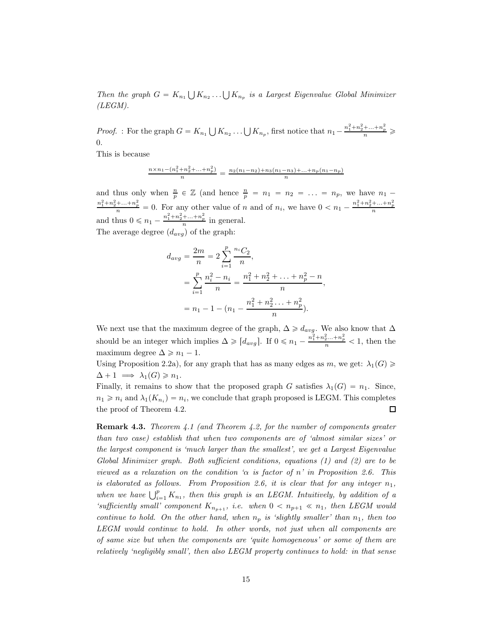Then the graph  $G = K_{n_1} \bigcup K_{n_2} \dots \bigcup K_{n_p}$  is a Largest Eigenvalue Global Minimizer  $(LEGM).$ 

*Proof.* : For the graph  $G = K_{n_1} \bigcup K_{n_2} \dots \bigcup K_{n_p}$ , first notice that  $n_1 - \frac{n_1^2 + n_2^2 + \dots + n_p^2}{n} \geq$ 0.

This is because

$$
\frac{n \times n_1 - (n_1^2 + n_2^2 + \dots + n_p^2)}{n} = \frac{n_2(n_1 - n_2) + n_3(n_1 - n_3) + \dots + n_p(n_1 - n_p)}{n}
$$

and thus only when  $\frac{n}{p} \in \mathbb{Z}$  (and hence  $\frac{n}{p} = n_1 = n_2 = \ldots = n_p$ , we have  $n_1$  $\frac{n_1^2 + n_2^2 + ... + n_p^2}{n} = 0$ . For any other value of n and of  $n_i$ , we have  $0 < n_1 - \frac{n_1^2 + n_2^2 + ... + n_p^2}{n}$ and thus  $0 \le n_1 - \frac{n_1^2 + n_2^2 + \dots + n_p^2}{n}$  in general. The average degree  $(d_{avg})$  of the graph:

$$
d_{avg} = \frac{2m}{n} = 2\sum_{i=1}^{p} \frac{n_i C_2}{n},
$$
  
= 
$$
\sum_{i=1}^{p} \frac{n_i^2 - n_i}{n} = \frac{n_1^2 + n_2^2 + \dots + n_p^2 - n}{n},
$$
  
= 
$$
n_1 - 1 - (n_1 - \frac{n_1^2 + n_2^2 \dots + n_p^2}{n}).
$$

We next use that the maximum degree of the graph,  $\Delta \geq d_{avg}$ . We also know that  $\Delta$ should be an integer which implies  $\Delta \geq \lceil d_{avg} \rceil$ . If  $0 \leq n_1 - \frac{n_1^2 + n_2^2 ... + n_p^2}{n} < 1$ , then the maximum degree  $\Delta \geq n_1 - 1$ .

Using Proposition [2.2a](#page-4-2)), for any graph that has as many edges as m, we get:  $\lambda_1(G) \geq$  $\Delta + 1 \implies \lambda_1(G) \geq n_1.$ 

Finally, it remains to show that the proposed graph G satisfies  $\lambda_1(G) = n_1$ . Since,  $n_1 \geq n_i$  and  $\lambda_1(K_{n_i}) = n_i$ , we conclude that graph proposed is LEGM. This completes the proof of Theorem [4.2.](#page-13-0) □

**Remark 4.3.** Theorem [4.1](#page-12-1) (and Theorem [4.2,](#page-13-0) for the number of components greater than two case) establish that when two components are of 'almost similar sizes' or the largest component is 'much larger than the smallest', we get a Largest Eigenvalue Global Minimizer graph. Both sufficient conditions, equations  $(1)$  and  $(2)$  are to be viewed as a relaxation on the condition ' $\alpha$  is factor of n' in Proposition [2.6.](#page-5-4) This is elaborated as follows. From Proposition [2.6,](#page-5-4) it is clear that for any integer  $n_1$ , when we have  $\bigcup_{i=1}^p K_{n_1}$ , then this graph is an LEGM. Intuitively, by addition of a 'sufficiently small' component  $K_{n_{p+1}}$ , i.e. when  $0 < n_{p+1} \ll n_1$ , then LEGM would continue to hold. On the other hand, when  $n_p$  is 'slightly smaller' than  $n_1$ , then too LEGM would continue to hold. In other words, not just when all components are of same size but when the components are 'quite homogeneous' or some of them are relatively 'negligibly small', then also LEGM property continues to hold: in that sense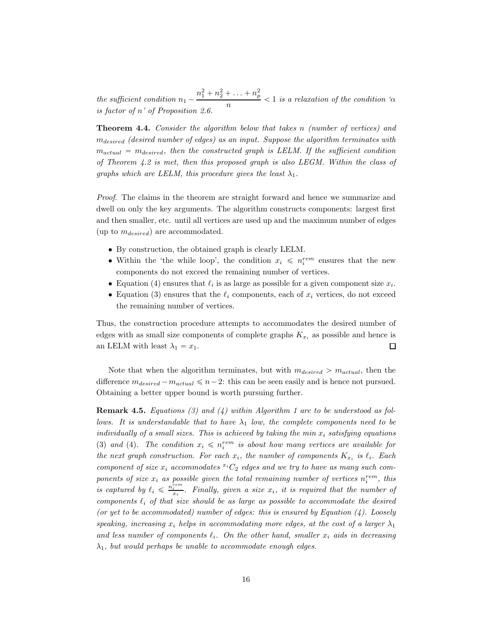the sufficient condition  $n_1 - \frac{n_1^2 + n_2^2 + \ldots + n_p^2}{n}$  $\frac{p}{n}$  < 1 is a relaxation of the condition ' $\alpha$ is factor of  $n'$  of Proposition [2.6.](#page-5-4)

Theorem 4.4. Consider the algorithm below that takes n (number of vertices) and mdesired (desired number of edges) as an input. Suppose the algorithm terminates with  $m_{actual} = m_{desired}$ , then the constructed graph is LELM. If the sufficient condition of Theorem  $4.2$  is met, then this proposed graph is also LEGM. Within the class of graphs which are LELM, this procedure gives the least  $\lambda_1$ .

Proof. The claims in the theorem are straight forward and hence we summarize and dwell on only the key arguments. The algorithm constructs components: largest first and then smaller, etc. until all vertices are used up and the maximum number of edges (up to  $m_{desired}$ ) are accommodated.

- By construction, the obtained graph is clearly LELM.
- Within the 'the while loop', the condition  $x_i \leqslant n_i^{rem}$  ensures that the new components do not exceed the remaining number of vertices.
- Equation [\(4\)](#page-16-0) ensures that  $\ell_i$  is as large as possible for a given component size  $x_i$ .
- Equation [\(3\)](#page-16-1) ensures that the  $\ell_i$  components, each of  $x_i$  vertices, do not exceed the remaining number of vertices.

Thus, the construction procedure attempts to accommodates the desired number of edges with as small size components of complete graphs  $K_{x_i}$  as possible and hence is an LELM with least  $\lambda_1 = x_1$ .  $\Box$ 

<span id="page-15-0"></span>Note that when the algorithm terminates, but with  $m_{desired} > m_{actual}$ , then the difference  $m_{desired} - m_{actual} \le n-2$ : this can be seen easily and is hence not pursued. Obtaining a better upper bound is worth pursuing further.

<span id="page-15-1"></span>**Remark 4.5.** Equations [\(3\)](#page-16-1) and [\(4\)](#page-16-0) within Algorithm [1](#page-15-0) are to be understood as follows. It is understandable that to have  $\lambda_1$  low, the complete components need to be individually of a small sizes. This is achieved by taking the min  $x_i$  satisfying equations ([3](#page-16-1)) and ([4](#page-16-0)). The condition  $x_i \leqslant n_i^{rem}$  is about how many vertices are available for the next graph construction. For each  $x_i$ , the number of components  $K_{x_i}$  is  $\ell_i$ . Each component of size  $x_i$  accommodates  ${}^{x_i}C_2$  edges and we try to have as many such components of size  $x_i$  as possible given the total remaining number of vertices  $n_i^{rem}$ , this is captured by  $\ell_i \leq \frac{n_i^{rem}}{x_i}$ . Finally, given a size  $x_i$ , it is required that the number of components  $\ell_i$  of that size should be as large as possible to accommodate the desired (or yet to be accommodated) number of edges: this is ensured by Equation  $(4)$ . Loosely speaking, increasing  $x_i$  helps in accommodating more edges, at the cost of a larger  $\lambda_1$ and less number of components  $\ell_i$ . On the other hand, smaller  $x_i$  aids in decreasing  $\lambda_1$ , but would perhaps be unable to accommodate enough edges.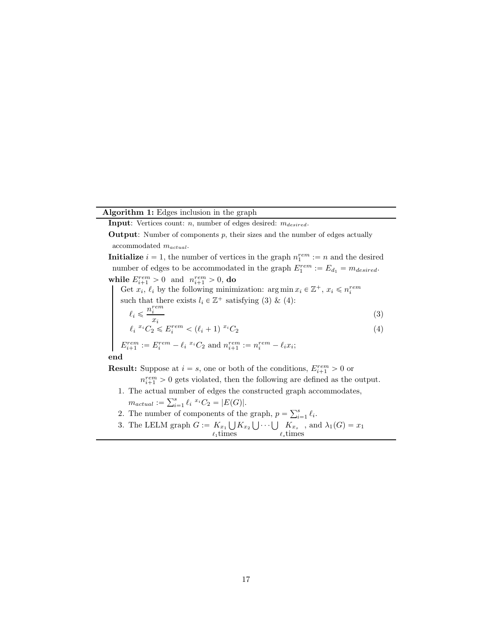# Algorithm 1: Edges inclusion in the graph

**Input:** Vertices count:  $n$ , number of edges desired:  $m_{desired}$ .

**Output:** Number of components  $p$ , their sizes and the number of edges actually accommodated mactual.

**Initialize**  $i = 1$ , the number of vertices in the graph  $n_1^{rem} := n$  and the desired number of edges to be accommodated in the graph  $E_1^{rem} := E_{d_1} = m_{desired}$ . while  $E_{i+1}^{rem} > 0$  and  $n_{i+1}^{rem} > 0$ , do

<span id="page-16-1"></span>Get  $x_i$ ,  $\ell_i$  by the following minimization:  $\arg \min x_i \in \mathbb{Z}^+$ ,  $x_i \leq n_i^{rem}$ such that there exists  $l_i \in \mathbb{Z}^+$  satisfying [\(3\)](#page-16-1) & [\(4\)](#page-16-0):  $\ell_i \leqslant \frac{n_i^{rem}}{r_i}$ (3)

<span id="page-16-0"></span>
$$
\ell_i \leq x_i
$$
  

$$
\ell_i \leq C_2 \leq E_i^{rem} < (\ell_i + 1) \leq C_2
$$

 $E_{i+1}^{rem} := E_i^{rem} - \ell_i^{x_i} C_2$  and  $n_{i+1}^{rem} := n_i^{rem} - \ell_i x_i;$ 

end

**Result:** Suppose at  $i = s$ , one or both of the conditions,  $E_{i+1}^{rem} > 0$  or

 $n_{i+1}^{rem} > 0$  gets violated, then the following are defined as the output.

- 1. The actual number of edges the constructed graph accommodates,
	- $m_{actual} := \sum_{i=1}^{s} \ell_i^{x_i} C_2 = |E(G)|.$
- 2. The number of components of the graph,  $p = \sum_{i=1}^{s} \ell_i$ .
- 3. The LELM graph  $G := K_{x_1} \bigcup$  $l_1$ times  $K_{x_2} \bigcup \cdots \bigcup K_{x_s}$  $K_{x_s}$ , and  $\lambda_1(G) = x_1$ <br> $\ell_s$ times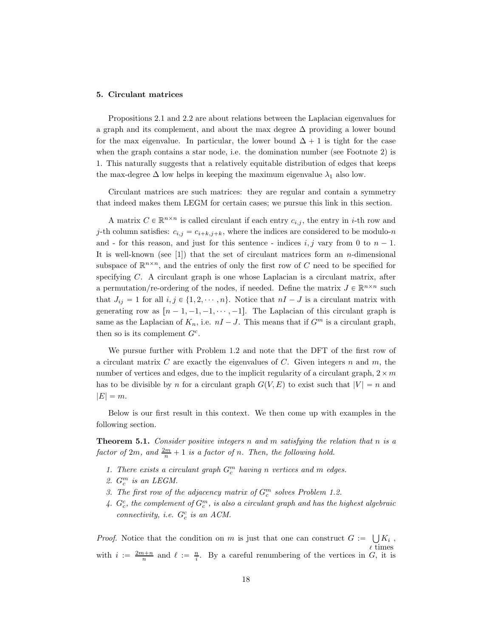#### <span id="page-17-0"></span>5. Circulant matrices

Propositions [2.1](#page-4-0) and [2.2](#page-4-2) are about relations between the Laplacian eigenvalues for a graph and its complement, and about the max degree  $\Delta$  providing a lower bound for the max eigenvalue. In particular, the lower bound  $\Delta + 1$  is tight for the case when the graph contains a star node, i.e. the domination number (see Footnote [2\)](#page-4-1) is 1. This naturally suggests that a relatively equitable distribution of edges that keeps the max-degree  $\Delta$  low helps in keeping the maximum eigenvalue  $\lambda_1$  also low.

Circulant matrices are such matrices: they are regular and contain a symmetry that indeed makes them LEGM for certain cases; we pursue this link in this section.

A matrix  $C \in \mathbb{R}^{n \times n}$  is called circulant if each entry  $c_{i,j}$ , the entry in *i*-th row and j-th column satisfies:  $c_{i,j} = c_{i+k,j+k}$ , where the indices are considered to be modulo-n and - for this reason, and just for this sentence - indices i, j vary from 0 to  $n - 1$ . It is well-known (see  $[1]$ ) that the set of circulant matrices form an *n*-dimensional subspace of  $\mathbb{R}^{n \times n}$ , and the entries of only the first row of C need to be specified for specifying C. A circulant graph is one whose Laplacian is a circulant matrix, after a permutation/re-ordering of the nodes, if needed. Define the matrix  $J \in \mathbb{R}^{n \times n}$  such that  $J_{ij} = 1$  for all  $i, j \in \{1, 2, \dots, n\}$ . Notice that  $nI - J$  is a circulant matrix with generating row as  $[n - 1, -1, -1, \cdots, -1]$ . The Laplacian of this circulant graph is same as the Laplacian of  $K_n$ , i.e.  $nI - J$ . This means that if  $G^m$  is a circulant graph, then so is its complement  $G^c$ .

We pursue further with Problem [1.2](#page-2-2) and note that the DFT of the first row of a circulant matrix  $C$  are exactly the eigenvalues of  $C$ . Given integers  $n$  and  $m$ , the number of vertices and edges, due to the implicit regularity of a circulant graph,  $2 \times m$ has to be divisible by n for a circulant graph  $G(V, E)$  to exist such that  $|V| = n$  and  $|E| = m$ .

Below is our first result in this context. We then come up with examples in the following section.

**Theorem 5.1.** Consider positive integers n and m satisfying the relation that n is a factor of  $2m$ , and  $\frac{2m}{n} + 1$  is a factor of n. Then, the following hold.

- 1. There exists a circulant graph  $G_c^m$  having n vertices and m edges.
- 2.  $G_c^m$  is an LEGM.
- 3. The first row of the adjacency matrix of  $G_c^m$  solves Problem [1.2.](#page-2-2)
- 4.  $G_c^c$ , the complement of  $G_c^m$ , is also a circulant graph and has the highest algebraic connectivity, i.e.  $G_c^c$  is an ACM.

*Proof.* Notice that the condition on m is just that one can construct  $G := \bigcup K_i$ ,  $\ell$  times with  $i := \frac{2m+n}{n}$  and  $\ell := \frac{n}{i}$ . By a careful renumbering of the vertices in G, it is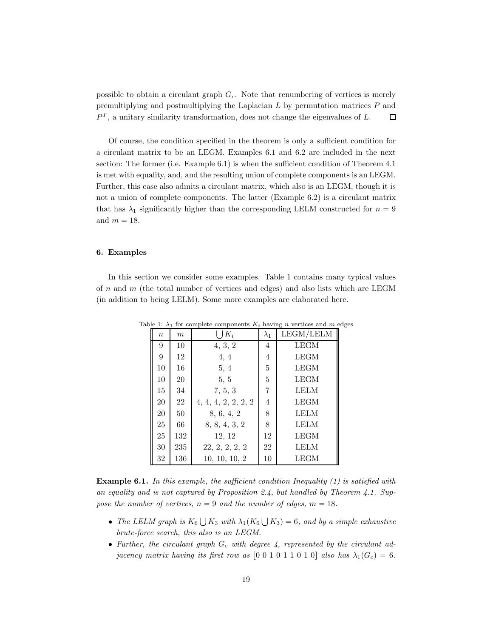possible to obtain a circulant graph  $G_c$ . Note that renumbering of vertices is merely premultiplying and postmultiplying the Laplacian  $L$  by permutation matrices  $P$  and  $P<sup>T</sup>$ , a unitary similarity transformation, does not change the eigenvalues of L.  $\Box$ 

Of course, the condition specified in the theorem is only a sufficient condition for a circulant matrix to be an LEGM. Examples [6.1](#page-18-1) and [6.2](#page-19-1) are included in the next section: The former (i.e. Example [6.1\)](#page-18-1) is when the sufficient condition of Theorem [4.1](#page-12-1) is met with equality, and, and the resulting union of complete components is an LEGM. Further, this case also admits a circulant matrix, which also is an LEGM, though it is not a union of complete components. The latter (Example [6.2\)](#page-19-1) is a circulant matrix that has  $\lambda_1$  significantly higher than the corresponding LELM constructed for  $n = 9$ and  $m = 18$ .

# <span id="page-18-0"></span>6. Examples

In this section we consider some examples. Table [1](#page-18-2) contains many typical values of n and m (the total number of vertices and edges) and also lists which are LEGM (in addition to being LELM). Some more examples are elaborated here.

<span id="page-18-2"></span>

| $\boldsymbol{n}$ | m   | $K_i$               | $\lambda_1$ | LEGM/LELM   |
|------------------|-----|---------------------|-------------|-------------|
| 9                | 10  | 4, 3, 2             | 4           | LEGM        |
| 9                | 12  | 4, 4                | 4           | LEGM        |
| 10               | 16  | 5, 4                | 5           | <b>LEGM</b> |
| 10               | 20  | 5, 5                | 5           | <b>LEGM</b> |
| 15               | 34  | 7, 5, 3             | 7           | <b>LELM</b> |
| 20               | 22  | 4, 4, 4, 2, 2, 2, 2 | 4           | <b>LEGM</b> |
| 20               | 50  | 8, 6, 4, 2          | 8           | LELM        |
| 25               | 66  | 8, 8, 4, 3, 2       | 8           | LELM        |
| 25               | 132 | 12, 12              | 12          | <b>LEGM</b> |
| 30               | 235 | 22, 2, 2, 2, 2      | 22          | LELM        |
| 32               | 136 | 10, 10, 10, 2       | 10          | LEGM        |

Table 1:  $\lambda_1$  for complete components  $K_i$  having n vertices and m edges

<span id="page-18-1"></span>**Example 6.1.** In this example, the sufficient condition Inequality  $(1)$  is satisfied with an equality and is not captured by Proposition [2.4,](#page-5-1) but handled by Theorem [4.1.](#page-12-1) Suppose the number of vertices,  $n = 9$  and the number of edges,  $m = 18$ .

- The LELM graph is  $K_6 \bigcup K_3$  with  $\lambda_1(K_6 \bigcup K_3) = 6$ , and by a simple exhaustive brute-force search, this also is an LEGM.
- Further, the circulant graph  $G_c$  with degree 4, represented by the circulant adjacency matrix having its first row as  $[0\ 0\ 1\ 0\ 1\ 0\ 1\ 0]$  also has  $\lambda_1(G_c) = 6$ .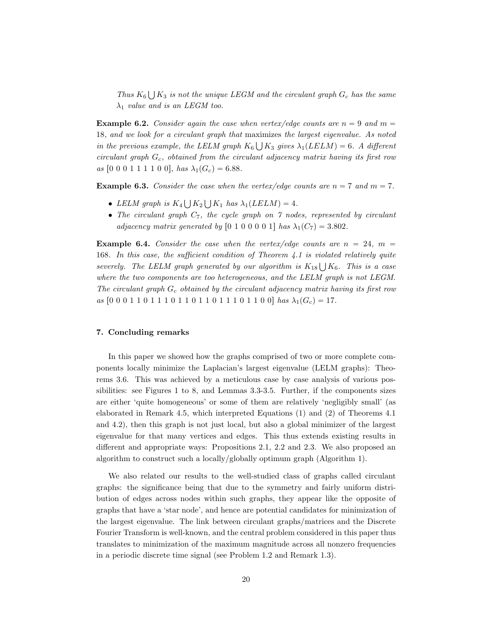Thus  $K_6 \bigcup K_3$  is not the unique LEGM and the circulant graph  $G_c$  has the same  $\lambda_1$  value and is an LEGM too.

<span id="page-19-1"></span>**Example 6.2.** Consider again the case when vertex/edge counts are  $n = 9$  and  $m =$ 18, and we look for a circulant graph that maximizes the largest eigenvalue. As noted in the previous example, the LELM graph  $K_6 \bigcup K_3$  gives  $\lambda_1(LELM) = 6$ . A different circulant graph  $G_c$ , obtained from the circulant adjacency matrix having its first row as  $[0\;0\;0\;1\;1\;1\;1\;0\;0],$  has  $\lambda_1(G_c)=6.88.$ 

**Example 6.3.** Consider the case when the vertex/edge counts are  $n = 7$  and  $m = 7$ .

- LELM graph is  $K_4 \bigcup K_2 \bigcup K_1$  has  $\lambda_1(LELM) = 4$ .
- The circulant graph  $C_7$ , the cycle graph on  $\gamma$  nodes, represented by circulant adjacency matrix generated by [0 1 0 0 0 0 1] has  $\lambda_1(C_7) = 3.802$ .

**Example 6.4.** Consider the case when the vertex/edge counts are  $n = 24$ ,  $m =$ 168. In this case, the sufficient condition of Theorem  $4.1$  is violated relatively quite severely. The LELM graph generated by our algorithm is  $K_{18} \bigcup K_6$ . This is a case where the two components are too heterogeneous, and the LELM graph is not LEGM. The circulant graph  $G_c$  obtained by the circulant adjacency matrix having its first row as  $[0\;0\;0\;1\;1\;0\;1\;1\;0\;1\;1\;0\;1\;1\;0\;1\;1\;0\;1\;1\;0\;0]$  has  $\lambda_1(G_c)=17$ .

## <span id="page-19-0"></span>7. Concluding remarks

In this paper we showed how the graphs comprised of two or more complete components locally minimize the Laplacian's largest eigenvalue (LELM graphs): Theorems [3.6.](#page-9-0) This was achieved by a meticulous case by case analysis of various possibilities: see Figures [1](#page-6-0) to [8,](#page-8-3) and Lemmas [3.3-](#page-6-1)[3.5.](#page-9-1) Further, if the components sizes are either 'quite homogeneous' or some of them are relatively 'negligibly small' (as elaborated in Remark [4.5,](#page-15-1) which interpreted Equations [\(1\)](#page-12-2) and [\(2\)](#page-13-1) of Theorems [4.1](#page-12-1) and [4.2\)](#page-13-0), then this graph is not just local, but also a global minimizer of the largest eigenvalue for that many vertices and edges. This thus extends existing results in different and appropriate ways: Propositions [2.1,](#page-4-0) [2.2](#page-4-2) and [2.3.](#page-4-3) We also proposed an algorithm to construct such a locally/globally optimum graph  $(A$ lgorithm [1\)](#page-15-0).

We also related our results to the well-studied class of graphs called circulant graphs: the significance being that due to the symmetry and fairly uniform distribution of edges across nodes within such graphs, they appear like the opposite of graphs that have a 'star node', and hence are potential candidates for minimization of the largest eigenvalue. The link between circulant graphs/matrices and the Discrete Fourier Transform is well-known, and the central problem considered in this paper thus translates to minimization of the maximum magnitude across all nonzero frequencies in a periodic discrete time signal (see Problem [1.2](#page-2-2) and Remark [1.3\)](#page-2-3).